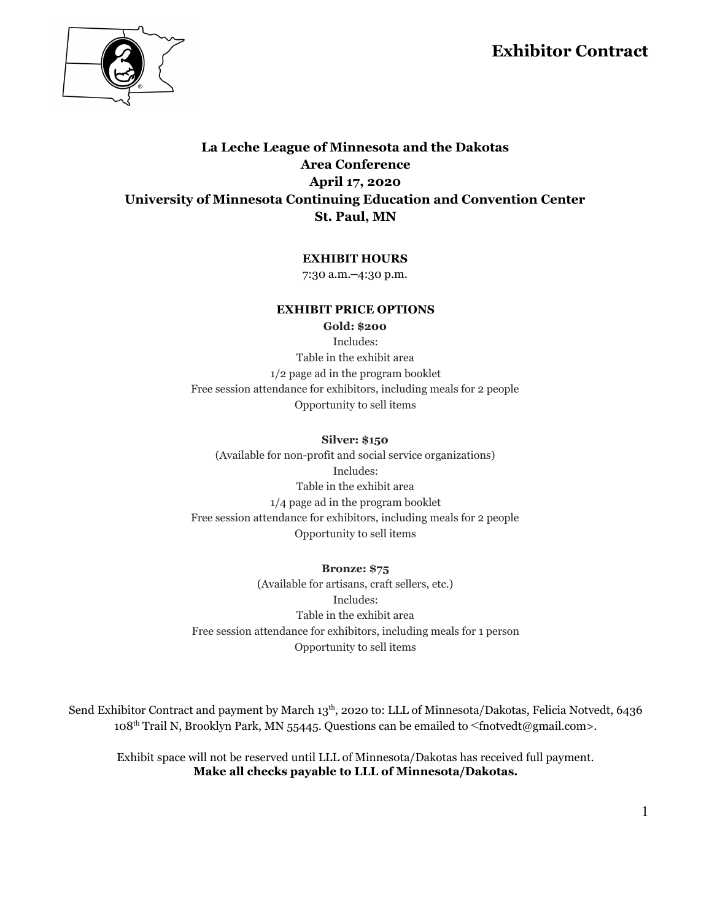## **Exhibitor Contract**



### **La Leche League of Minnesota and the Dakotas Area Conference April 17, 2020 University of Minnesota Continuing Education and Convention Center St. Paul, MN**

### **EXHIBIT HOURS**

7:30 a.m.–4:30 p.m.

#### **EXHIBIT PRICE OPTIONS**

**Gold: \$200**

Includes: Table in the exhibit area 1/2 page ad in the program booklet Free session attendance for exhibitors, including meals for 2 people Opportunity to sell items

#### **Silver: \$150**

(Available for non-profit and social service organizations) Includes: Table in the exhibit area 1/4 page ad in the program booklet Free session attendance for exhibitors, including meals for 2 people Opportunity to sell items

#### **Bronze: \$75**

(Available for artisans, craft sellers, etc.) Includes: Table in the exhibit area Free session attendance for exhibitors, including meals for 1 person Opportunity to sell items

Send Exhibitor Contract and payment by March 13<sup>th</sup>, 2020 to: LLL of Minnesota/Dakotas, Felicia Notvedt, 6436 108<sup>th</sup> Trail N, Brooklyn Park, MN 55445. Questions can be emailed to <fnotvedt@gmail.com>.

Exhibit space will not be reserved until LLL of Minnesota/Dakotas has received full payment. **Make all checks payable to LLL of Minnesota/Dakotas.**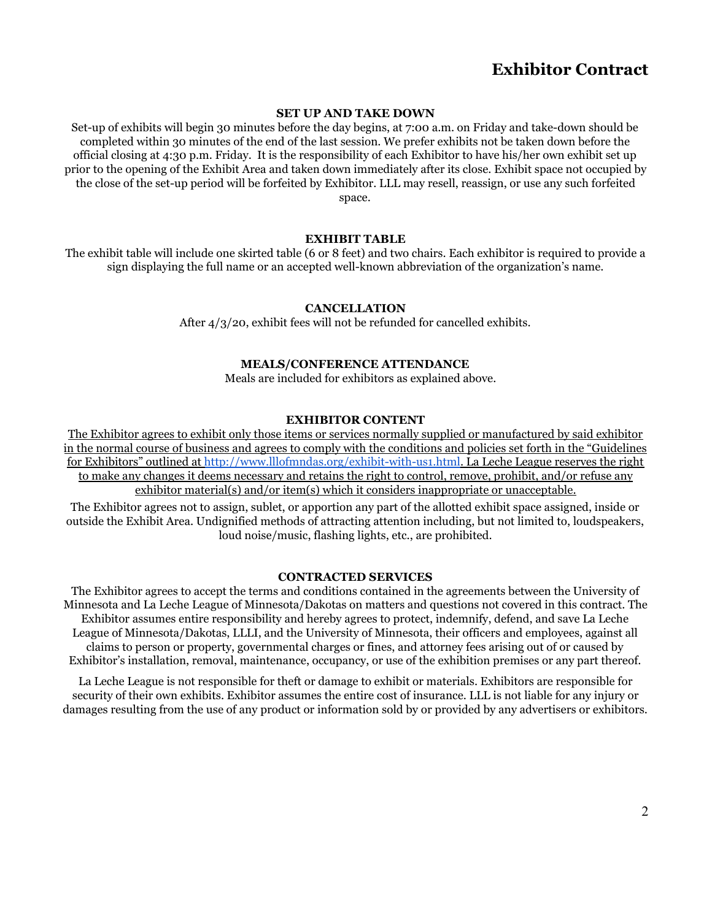# **Exhibitor Contract**

#### **SET UP AND TAKE DOWN**

Set-up of exhibits will begin 30 minutes before the day begins, at 7:00 a.m. on Friday and take-down should be completed within 30 minutes of the end of the last session. We prefer exhibits not be taken down before the official closing at 4:30 p.m. Friday. It is the responsibility of each Exhibitor to have his/her own exhibit set up prior to the opening of the Exhibit Area and taken down immediately after its close. Exhibit space not occupied by the close of the set-up period will be forfeited by Exhibitor. LLL may resell, reassign, or use any such forfeited space.

#### **EXHIBIT TABLE**

The exhibit table will include one skirted table (6 or 8 feet) and two chairs. Each exhibitor is required to provide a sign displaying the full name or an accepted well-known abbreviation of the organization's name.

#### **CANCELLATION**

After 4/3/20, exhibit fees will not be refunded for cancelled exhibits.

#### **MEALS/CONFERENCE ATTENDANCE**

Meals are included for exhibitors as explained above.

#### **EXHIBITOR CONTENT**

The Exhibitor agrees to exhibit only those items or services normally supplied or manufactured by said exhibitor in the normal course of business and agrees to comply with the conditions and policies set forth in the "Guidelines for Exhibitors" outlined at <http://www.lllofmndas.org/exhibit-with-us1.html>. La Leche League reserves the right to make any changes it deems necessary and retains the right to control, remove, prohibit, and/or refuse any exhibitor material(s) and/or item(s) which it considers inappropriate or unacceptable.

The Exhibitor agrees not to assign, sublet, or apportion any part of the allotted exhibit space assigned, inside or outside the Exhibit Area. Undignified methods of attracting attention including, but not limited to, loudspeakers, loud noise/music, flashing lights, etc., are prohibited.

#### **CONTRACTED SERVICES**

The Exhibitor agrees to accept the terms and conditions contained in the agreements between the University of Minnesota and La Leche League of Minnesota/Dakotas on matters and questions not covered in this contract. The Exhibitor assumes entire responsibility and hereby agrees to protect, indemnify, defend, and save La Leche League of Minnesota/Dakotas, LLLI, and the University of Minnesota, their officers and employees, against all claims to person or property, governmental charges or fines, and attorney fees arising out of or caused by Exhibitor's installation, removal, maintenance, occupancy, or use of the exhibition premises or any part thereof.

La Leche League is not responsible for theft or damage to exhibit or materials. Exhibitors are responsible for security of their own exhibits. Exhibitor assumes the entire cost of insurance. LLL is not liable for any injury or damages resulting from the use of any product or information sold by or provided by any advertisers or exhibitors.